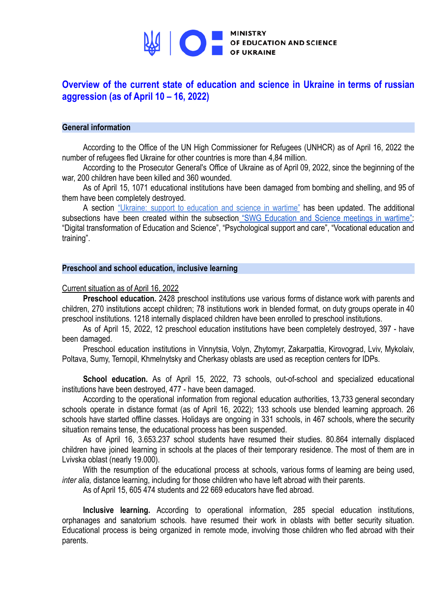

# **Overview of the current state of education and science in Ukraine in terms of russian aggression (as of April 10 – 16, 2022)**

# **General information**

According to the Office of the UN High Commissioner for Refugees (UNHCR) as of April 16, 2022 the number of refugees fled Ukraine for other countries is more than 4,84 million.

According to the Prosecutor General's Office of Ukraine as of April 09, 2022, since the beginning of the war, 200 children have been killed and 360 wounded.

As of April 15, 1071 educational institutions have been damaged from bombing and shelling, and 95 of them have been completely destroyed.

A section "Ukraine: support to [education](https://mon.gov.ua/eng/ministerstvo/diyalnist/mizhnarodna-dilnist/pidtrimka-osviti-i-nauki-ukrayini-pid-chas-vijni) and science in wartime" has been updated. The additional subsections have been created within the subsection "SWG [Education](https://mon.gov.ua/eng/ministerstvo/diyalnist/mizhnarodna-dilnist/pidtrimka-osviti-i-nauki-ukrayini-pid-chas-vijni/zasidannya-srg-osvita-i-nauka-pid-chas-vijni) and Science meetings in wartime": "Digital transformation of Education and Science", "Psychological support and care", "Vocational education and training".

# **Preschool and school education, inclusive learning**

## Current situation as of April 16, 2022

**Preschool education.** 2428 preschool institutions use various forms of distance work with parents and children, 270 institutions accept children; 78 institutions work in blended format, on duty groups operate in 40 preschool institutions. 1218 internally displaced children have been enrolled to preschool institutions.

As of April 15, 2022, 12 preschool education institutions have been completely destroyed, 397 - have been damaged.

Preschool education institutions in Vinnytsia, Volyn, Zhytomyr, Zakarpattia, Kirovograd, Lviv, Mykolaiv, Poltava, Sumy, Ternopil, Khmelnytsky and Cherkasy oblasts are used as reception centers for IDPs.

**School education.** As of April 15, 2022, 73 schools, out-of-school and specialized educational institutions have been destroyed, 477 - have been damaged.

According to the operational information from regional education authorities, 13,733 general secondary schools operate in distance format (as of April 16, 2022); 133 schools use blended learning approach. 26 schools have started offline classes. Holidays are ongoing in 331 schools, in 467 schools, where the security situation remains tense, the educational process has been suspended.

As of April 16, 3.653.237 school students have resumed their studies. 80.864 internally displaced children have joined learning in schools at the places of their temporary residence. The most of them are in Lvivska oblast (nearly 19.000).

With the resumption of the educational process at schools, various forms of learning are being used. *inter alia,* distance learning, including for those children who have left abroad with their parents.

As of April 15, 605 474 students and 22 669 educators have fled abroad.

**Inclusive learning.** According to operational information, 285 special education institutions, orphanages and sanatorium schools. have resumed their work in oblasts with better security situation. Educational process is being organized in remote mode, involving those children who fled abroad with their parents.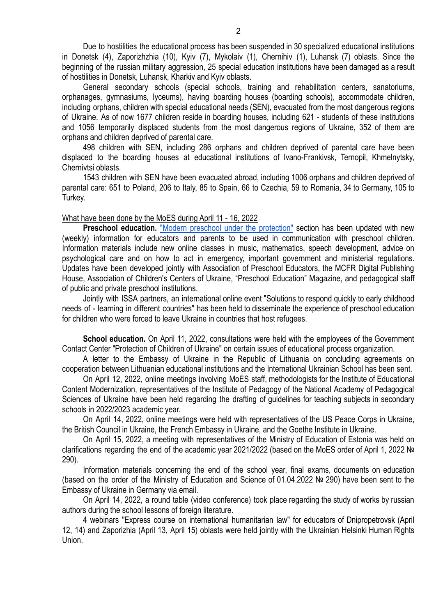Due to hostilities the educational process has been suspended in 30 specialized educational institutions in Donetsk (4), Zaporizhzhia (10), Kyiv (7), Mykolaiv (1), Chernihiv (1), Luhansk (7) oblasts. Since the beginning of the russian military aggression, 25 special education institutions have been damaged as a result of hostilities in Donetsk, Luhansk, Kharkiv and Kyiv oblasts.

General secondary schools (special schools, training and rehabilitation centers, sanatoriums, orphanages, gymnasiums, lyceums), having boarding houses (boarding schools), accommodate children, including orphans, children with special educational needs (SEN), evacuated from the most dangerous regions of Ukraine. As of now 1677 children reside in boarding houses, including 621 - students of these institutions and 1056 temporarily displaced students from the most dangerous regions of Ukraine, 352 of them are orphans and children deprived of parental care.

498 children with SEN, including 286 orphans and children deprived of parental care have been displaced to the boarding houses at educational institutions of Ivano-Frankivsk, Ternopil, Khmelnytsky, Chernivtsi oblasts.

1543 children with SEN have been evacuated abroad, including 1006 orphans and children deprived of parental care: 651 to Poland, 206 to Italy, 85 to Spain, 66 to Czechia, 59 to Romania, 34 to Germany, 105 to Turkey.

What have been done by the MoES during April 11 - 16, 2022

**Preschool education.** "Modern preschool under the [protection"](https://mon.gov.ua/ua/osvita/doshkilna-osvita/suchasne-doshkillya-pid-krilami-zahistu) section has been updated with new (weekly) information for educators and parents to be used in communication with preschool children. Information materials include new online classes in music, mathematics, speech development, advice on psychological care and on how to act in emergency, important government and ministerial regulations. Updates have been developed jointly with Association of Preschool Educators, the MCFR Digital Publishing House, Association of Children's Centers of Ukraine, "Preschool Education" Magazine, and pedagogical staff of public and private preschool institutions.

Jointly with ISSA partners, an international online event "Solutions to respond quickly to early childhood needs of - learning in different countries" has been held to disseminate the experience of preschool education for children who were forced to leave Ukraine in countries that host refugees.

**School education.** On April 11, 2022, consultations were held with the employees of the Government Contact Center "Protection of Children of Ukraine" on certain issues of educational process organization.

A letter to the Embassy of Ukraine in the Republic of Lithuania on concluding agreements on cooperation between Lithuanian educational institutions and the International Ukrainian School has been sent.

On April 12, 2022, online meetings involving MoES staff, methodologists for the Institute of Educational Content Modernization, representatives of the Institute of Pedagogy of the National Academy of Pedagogical Sciences of Ukraine have been held regarding the drafting of guidelines for teaching subjects in secondary schools in 2022/2023 academic year.

On April 14, 2022, online meetings were held with representatives of the US Peace Corps in Ukraine, the British Council in Ukraine, the French Embassy in Ukraine, and the Goethe Institute in Ukraine.

On April 15, 2022, a meeting with representatives of the Ministry of Education of Estonia was held on clarifications regarding the end of the academic year 2021/2022 (based on the MoES order of April 1, 2022 № 290).

Information materials concerning the end of the school year, final exams, documents on education (based on the order of the Ministry of Education and Science of 01.04.2022 № 290) have been sent to the Embassy of Ukraine in Germany via email.

On April 14, 2022, a round table (video conference) took place regarding the study of works by russian authors during the school lessons of foreign literature.

4 webinars "Express course on international humanitarian law" for educators of Dnipropetrovsk (April 12, 14) and Zaporizhia (April 13, April 15) oblasts were held jointly with the Ukrainian Helsinki Human Rights Union.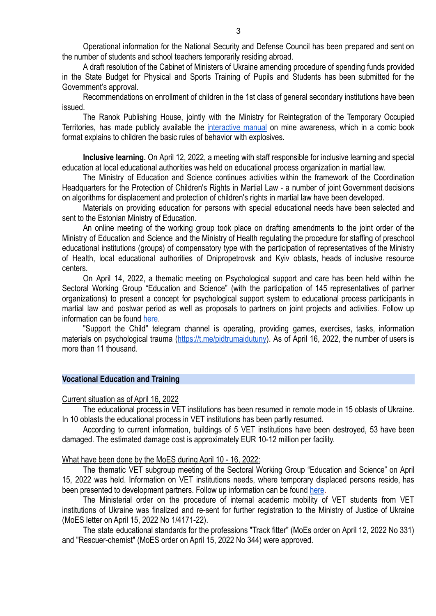Operational information for the National Security and Defense Council has been prepared and sent on the number of students and school teachers temporarily residing abroad.

A draft resolution of the Cabinet of Ministers of Ukraine amending procedure of spending funds provided in the State Budget for Physical and Sports Training of Pupils and Students has been submitted for the Government's approval.

Recommendations on enrollment of children in the 1st class of general secondary institutions have been issued.

The Ranok Publishing House, jointly with the Ministry for Reintegration of the Temporary Occupied Territories, has made publicly available the [interactive](https://www.ranok.com.ua/info-prazdnichnye-raskraski-kniga-3-snegurochka-5640.html) manual on mine awareness, which in a comic book format explains to children the basic rules of behavior with explosives.

**Inclusive learning.** On April 12, 2022, a meeting with staff responsible for inclusive learning and special education at local educational authorities was held on educational process organization in martial law.

The Ministry of Education and Science continues activities within the framework of the Coordination Headquarters for the Protection of Children's Rights in Martial Law - a number of joint Government decisions on algorithms for displacement and protection of children's rights in martial law have been developed.

Materials on providing education for persons with special educational needs have been selected and sent to the Estonian Ministry of Education.

An online meeting of the working group took place on drafting amendments to the joint order of the Ministry of Education and Science and the Ministry of Health regulating the procedure for staffing of preschool educational institutions (groups) of compensatory type with the participation of representatives of the Ministry of Health, local educational authorities of Dnipropetrovsk and Kyiv oblasts, heads of inclusive resource centers.

On April 14, 2022, a thematic meeting on Psychological support and care has been held within the Sectoral Working Group "Education and Science" (with the participation of 145 representatives of partner organizations) to present a concept for psychological support system to educational process participants in martial law and postwar period as well as proposals to partners on joint projects and activities. Follow up information can be found [here.](https://mon.gov.ua/eng/ministerstvo/diyalnist/mizhnarodna-dilnist/pidtrimka-osviti-i-nauki-ukrayini-pid-chas-vijni/zasidannya-srg-osvita-i-nauka-pid-chas-vijni/psihologichna-pidtrimka-i-dopomoga)

"Support the Child" telegram channel is operating, providing games, exercises, tasks, information materials on psychological trauma (<https://t.me/pidtrumaidutuny>). As of April 16, 2022, the number of users is more than 11 thousand.

## **Vocational Education and Training**

Current situation as of April 16, 2022

The educational process in VET institutions has been resumed in remote mode in 15 oblasts of Ukraine. In 10 oblasts the educational process in VET institutions has been partly resumed.

According to current information, buildings of 5 VET institutions have been destroyed, 53 have been damaged. The estimated damage cost is approximately EUR 10-12 million per facility.

## What have been done by the MoES during April 10 - 16, 2022:

The thematic VET subgroup meeting of the Sectoral Working Group "Education and Science" on April 15, 2022 was held. Information on VET institutions needs, where temporary displaced persons reside, has been presented to development partners. Follow up information can be found [here](https://mon.gov.ua/eng/ministerstvo/diyalnist/mizhnarodna-dilnist/pidtrimka-osviti-i-nauki-ukrayini-pid-chas-vijni/zasidannya-srg-osvita-i-nauka-pid-chas-vijni/profesijna-profesijno-tehnichna-osvita).

The Ministerial order on the procedure of internal academic mobility of VET students from VET institutions of Ukraine was finalized and re-sent for further registration to the Ministry of Justice of Ukraine (MoES letter on April 15, 2022 No 1/4171-22).

The state educational standards for the professions "Track fitter" (MoEs order on April 12, 2022 No 331) and "Rescuer-chemist" (MoES order on April 15, 2022 No 344) were approved.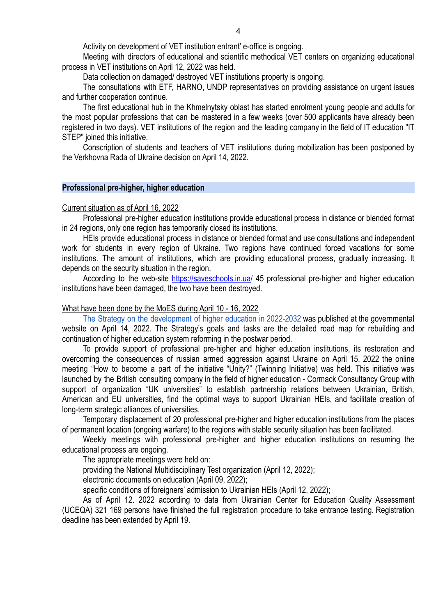Activity on development of VET institution entrant' e-office is ongoing.

Meeting with directors of educational and scientific methodical VET centers on organizing educational process in VET institutions on April 12, 2022 was held.

Data collection on damaged/ destroyed VET institutions property is ongoing.

The consultations with ETF, HARNO, UNDP representatives on providing assistance on urgent issues and further cooperation continue.

The first educational hub in the Khmelnytsky oblast has started enrolment young people and adults for the most popular professions that can be mastered in a few weeks (over 500 applicants have already been registered in two days). VET institutions of the region and the leading company in the field of IT education "IT STEP" joined this initiative.

Conscription of students and teachers of VET institutions during mobilization has been postponed by the Verkhovna Rada of Ukraine decision on April 14, 2022.

# **Professional pre-higher, higher education**

## Current situation as of April 16, 2022

Professional pre-higher education institutions provide educational process in distance or blended format in 24 regions, only one region has temporarily closed its institutions.

HEIs provide educational process in distance or blended format and use consultations and independent work for students in every region of Ukraine. Two regions have continued forced vacations for some institutions. The amount of institutions, which are providing educational process, gradually increasing. It depends on the security situation in the region.

According to the web-site <https://saveschools.in.ua/> 45 professional pre-higher and higher education institutions have been damaged, the two have been destroyed.

## What have been done by the MoES during April 10 - 16, 2022

The Strategy on the [development](https://www.kmu.gov.ua/npas/pro-shvalennya-strategiyi-rozvitku-vishchoyi-osviti-v-ukrayini-na-20222032-roki-286-) of higher education in 2022-2032 was published at the governmental website on April 14, 2022. The Strategy's goals and tasks are the detailed road map for rebuilding and continuation of higher education system reforming in the postwar period.

To provide support of professional pre-higher and higher education institutions, its restoration and overcoming the consequences of russian armed aggression against Ukraine on April 15, 2022 the online meeting "How to become a part of the initiative "Unity?" (Twinning Initiative) was held. This initiative was launched by the British consulting company in the field of higher education - Cormack Consultancy Group with support of organization "UK universities" to establish partnership relations between Ukrainian, British, American and EU universities, find the optimal ways to support Ukrainian HEIs, and facilitate creation of long-term strategic alliances of universities.

Temporary displacement of 20 professional pre-higher and higher education institutions from the places of permanent location (ongoing warfare) to the regions with stable security situation has been facilitated.

Weekly meetings with professional pre-higher and higher education institutions on resuming the educational process are ongoing.

The appropriate meetings were held on:

providing the National Multidisciplinary Test organization (April 12, 2022);

electronic documents on education (April 09, 2022);

specific conditions of foreigners' admission to Ukrainian HEIs (April 12, 2022);

As of April 12. 2022 according to data from Ukrainian Center for Education Quality Assessment (UCEQA) 321 169 persons have finished the full registration procedure to take entrance testing. Registration deadline has been extended by April 19.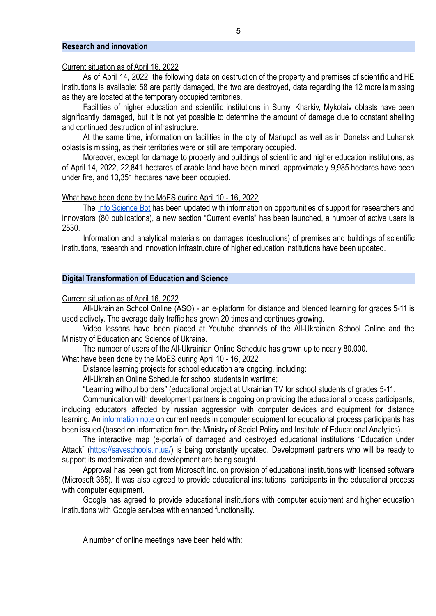## **Research and innovation**

### Current situation as of April 16, 2022

As of April 14, 2022, the following data on destruction of the property and premises of scientific and HE institutions is available: 58 are partly damaged, the two are destroyed, data regarding the 12 more is missing as they are located at the temporary occupied territories.

Facilities of higher education and scientific institutions in Sumy, Kharkiv, Mykolaiv oblasts have been significantly damaged, but it is not yet possible to determine the amount of damage due to constant shelling and continued destruction of infrastructure.

At the same time, information on facilities in the city of Mariupol as well as in Donetsk and Luhansk oblasts is missing, as their territories were or still are temporary occupied.

Moreover, except for damage to property and buildings of scientific and higher education institutions, as of April 14, 2022, 22,841 hectares of arable land have been mined, approximately 9,985 hectares have been under fire, and 13,351 hectares have been occupied.

#### What have been done by the MoES during April 10 - 16, 2022

The Info [Science](https://t.me/InfoScienceBot) Bot has been updated with information on opportunities of support for researchers and innovators (80 publications), a new section "Current events" has been launched, a number of active users is 2530.

Information and analytical materials on damages (destructions) of premises and buildings of scientific institutions, research and innovation infrastructure of higher education institutions have been updated.

## **Digital Transformation of Education and Science**

Current situation as of April 16, 2022

All-Ukrainian School Online (ASO) - an e-platform for distance and blended learning for grades 5-11 is used actively. The average daily traffic has grown 20 times and continues growing.

Video lessons have been placed at Youtube channels of the All-Ukrainian School Online and the Ministry of Education and Science of Ukraine.

The number of users of the All-Ukrainian Online Schedule has grown up to nearly 80.000.

What have been done by the MoES during April 10 - 16, 2022

Distance learning projects for school education are ongoing, including:

All-Ukrainian Online Schedule for school students in wartime;

"Learning without borders" (educational project at Ukrainian TV for school students of grades 5-11.

Communication with development partners is ongoing on providing the educational process participants, including educators affected by russian aggression with computer devices and equipment for distance learning. An [information](https://drive.google.com/file/d/19FI0VLcTBY9YPXXZ1tv-8t5hDMDQjknG/view) note on current needs in computer equipment for educational process participants has been issued (based on information from the Ministry of Social Policy and Institute of Educational Analytics).

The interactive map (e-portal) of damaged and destroyed educational institutions "Education under Attack" [\(https://saveschools.in.ua/\)](https://saveschools.in.ua/) is being constantly updated. Development partners who will be ready to support its modernization and development are being sought.

Approval has been got from Microsoft Inc. on provision of educational institutions with licensed software (Microsoft 365). It was also agreed to provide educational institutions, participants in the educational process with computer equipment.

Google has agreed to provide educational institutions with computer equipment and higher education institutions with Google services with enhanced functionality.

A number of online meetings have been held with: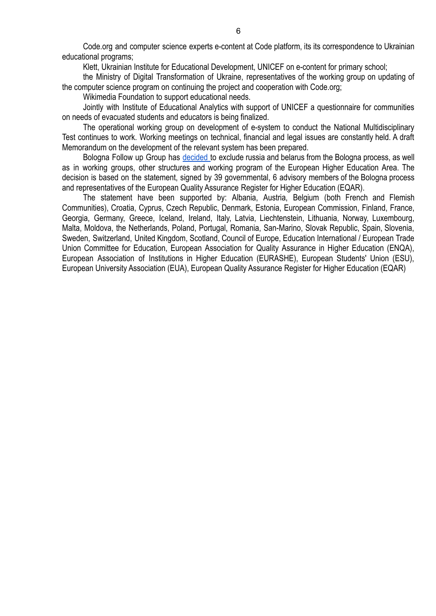Code.org and computer science experts e-content at Code platform, its its correspondence to Ukrainian educational programs;

Klett, Ukrainian Institute for Educational Development, UNICEF on e-content for primary school;

the Ministry of Digital Transformation of Ukraine, representatives of the working group on updating of the computer science program on continuing the project and cooperation with Code.org;

Wikimedia Foundation to support educational needs.

Jointly with Institute of Educational Analytics with support of UNICEF a questionnaire for communities on needs of evacuated students and educators is being finalized.

The operational working group on development of e-system to conduct the National Multidisciplinary Test continues to work. Working meetings on technical, financial and legal issues are constantly held. A draft Memorandum on the development of the relevant system has been prepared.

Bologna Follow up Group has [decided](http://www.ehea.info/Upload/STATEMENT%20BY%20MEMBERS%20AND%20CONSULTATIVE%20MEMBERS%20OF%20THE%20BOLOGNA%20FOLLOW%20UP%20GROUP%20ON%20CONSEQUENCES%20OF%20THE%20RUSSIAN%20INVASION%20OF%20UKRAINE%20.pdf) to exclude russia and belarus from the Bologna process, as well as in working groups, other structures and working program of the European Higher Education Area. The decision is based on the statement, signed by 39 governmental, 6 advisory members of the Bologna process and representatives of the European Quality Assurance Register for Higher Education (EQAR).

The statement have been supported by: Albania, Austria, Belgium (both French and Flemish Communities), Croatia, Cyprus, Czech Republic, Denmark, Estonia, European Commission, Finland, France, Georgia, Germany, Greece, Iceland, Ireland, Italy, Latvia, Liechtenstein, Lithuania, Norway, Luxembourg, Malta, Moldova, the Netherlands, Poland, Portugal, Romania, San-Marino, Slovak Republic, Spain, Slovenia, Sweden, Switzerland, United Kingdom, Scotland, Council of Europe, Education International / European Trade Union Committee for Education, European Association for Quality Assurance in Higher Education (ENQA), European Association of Institutions in Higher Education (EURASHE), European Students' Union (ESU), European University Association (EUA), European Quality Assurance Register for Higher Education (EQAR)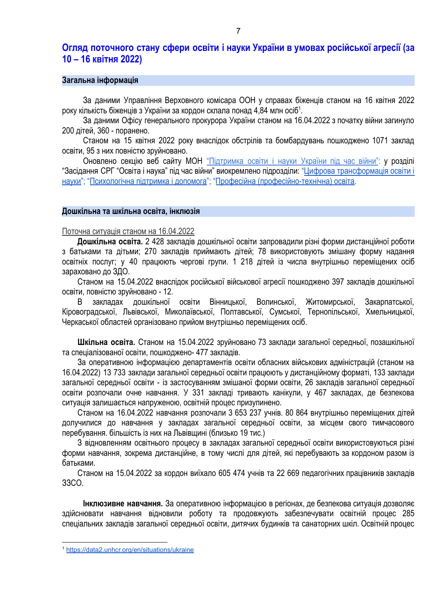# **Огляд поточного стану сфери освіти і науки України в умовах російської агресії (за 10 – 16 квітня 2022)**

### **Загальна інформація**

За даними Управління Верховного комісара ООН у справах біженців станом на 16 квітня 2022 року кількість біженців з України за кордон склала понад 4,84 млн осіб<sup>1</sup>.

За даними Офісу генерального прокурора України станом на 16.04.2022 з початку війни загинуло 200 дітей, 360 - поранено.

Станом на 15 квітня 2022 року внаслідок обстрілів та бомбардувань пошкоджено 1071 заклад освіти, 95 з них повністю зруйновано.

Оновлено секцію веб сайту МОН ["Підтримка](https://mon.gov.ua/ua/ministerstvo/diyalnist/mizhnarodna-dilnist/pidtrimka-osviti-i-nauki-ukrayini-pid-chas-vijni) освіти і науки України під час війни": у розділі "Засідання СРГ "Освіта і наука" під час війни" виокремлено підрозділи: "Цифрова [трансформація](https://mon.gov.ua/ua/ministerstvo/diyalnist/mizhnarodna-dilnist/pidtrimka-osviti-i-nauki-ukrayini-pid-chas-vijni/zasidannya-srg-osvita-i-nauka-pid-chas-vijni/cifrova-transformaciya-osviti-i-nauki) освіти і [науки"](https://mon.gov.ua/ua/ministerstvo/diyalnist/mizhnarodna-dilnist/pidtrimka-osviti-i-nauki-ukrayini-pid-chas-vijni/zasidannya-srg-osvita-i-nauka-pid-chas-vijni/cifrova-transformaciya-osviti-i-nauki); "[Психологічна підтримка і допомога"](https://mon.gov.ua/ua/ministerstvo/diyalnist/mizhnarodna-dilnist/pidtrimka-osviti-i-nauki-ukrayini-pid-chas-vijni/zasidannya-srg-osvita-i-nauka-pid-chas-vijni/psihologichna-pidtrimka-i-dopomoga); "Професійна [\(професійно-технічна\) освіта.](https://mon.gov.ua/ua/ministerstvo/diyalnist/mizhnarodna-dilnist/pidtrimka-osviti-i-nauki-ukrayini-pid-chas-vijni/zasidannya-srg-osvita-i-nauka-pid-chas-vijni/profesijna-profesijno-tehnichna-osvita)

#### **Дошкільна та шкільна освіта, інклюзія**

Поточна ситуація станом на 16.04.2022

**Дошкільна освіта.** 2 428 закладів дошкільної освіти запровадили різні форми дистанційної роботи з батьками та дітьми; 270 закладів приймають дітей; 78 використовують змішану форму надання освітніх послуг; у 40 працюють чергові групи. 1 218 дітей із числа внутрішньо переміщених осіб зараховано до ЗДО.

Станом на 15.04.2022 внаслідок російської військової агресії пошкоджено 397 закладів дошкільної освіти, повністю зруйновано - 12.

В закладах дошкільної освіти Вінницької, Волинської, Житомирської, Закарпатської, Кіровоградської, Львівської, Миколаївської, Полтавської, Сумської, Тернопільської, Хмельницької, Черкаської областей організовано прийом внутрішньо переміщених осіб.

**Шкільна освіта.** Станом на 15.04.2022 зруйновано 73 заклади загальної середньої, позашкільної та спеціалізованої освіти, пошкоджено- 477 закладів.

За оперативною інформацією департаментів освіти обласних військових адміністрацій (станом на 16.04.2022) 13 733 заклади загальної середньої освіти працюють у дистанційному форматі, 133 заклади загальної середньої освіти - із застосуванням змішаної форми освіти, 26 закладів загальної середньої освіти розпочали очне навчання. У 331 закладі тривають канікули, у 467 закладах, де безпекова ситуація залишається напруженою, освітній процес призупинено.

Станом на 16.04.2022 навчання розпочали 3 653 237 учнів. 80 864 внутрішньо переміщених дітей долучилися до навчання у закладах загальної середньої освіти, за місцем свого тимчасового перебування. більшість із них на Львівщині (близько 19 тис.)

З відновленням освітнього процесу в закладах загальної середньої освіти використовуються різні форми навчання, зокрема дистанційне, в тому числі для дітей, які перебувають за кордоном разом із батьками.

Станом на 15.04.2022 за кордон виїхало 605 474 учнів та 22 669 педагогічних працівників закладів ЗЗСО.

**Інклюзивне навчання.** За оперативною інформацією в регіонах, де безпекова ситуація дозволяє здійснювати навчання відновили роботу та продовжують забезпечувати освітній процес 285 спеціальних закладів загальної середньої освіти, дитячих будинків та санаторних шкіл. Освітній процес

<sup>1</sup> <https://data2.unhcr.org/en/situations/ukraine>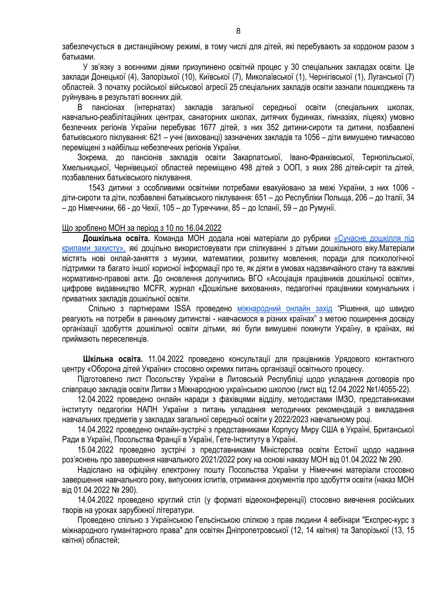забезпечується в дистанційному режимі, в тому числі для дітей, які перебувають за кордоном разом з батьками.

У зв'язку з воєнними діями призупинено освітній процес у 30 спеціальних закладах освіти. Це заклади Донецької (4), Запорізької (10), Київської (7), Миколаївської (1), Чернігівської (1), Луганської (7) областей. З початку російської військової агресії 25 спеціальних закладів освіти зазнали пошкоджень та руйнувань в результаті воєнних дій.

В пансіонах (інтернатах) закладів загальної середньої освіти (спеціальних школах, навчально-реабілітаційних центрах, санаторних школах, дитячих будинках, гімназіях, ліцеях) умовно безпечних регіонів України перебуває 1677 дітей, з них 352 дитини-сироти та дитини, позбавлені батьківського піклування: 621 – учні (вихованці) зазначених закладів та 1056 – діти вимушено тимчасово переміщені з найбільш небезпечних регіонів України.

Зокрема, до пансіонів закладів освіти Закарпатської, Івано-Франківської, Тернопільської, Хмельницької, Чернівецької областей переміщено 498 дітей з ООП, з яких 286 дітей-сиріт та дітей, позбавлених батьківського піклування.

1543 дитини з особливими освітніми потребами евакуйовано за межі України, з них 1006 діти-сироти та діти, позбавлені батьківського піклування: 651 – до Республіки Польща, 206 – до Італії, 34 – до Німеччини, 66 - до Чехії, 105 – до Туреччини, 85 – до Іспанії, 59 – до Румунії.

## Що зроблено МОН за період з 10 по 16.04.2022

**Дошкільна освіта.** Команда МОН додала нові матеріали до рубрики [«Сучасне](https://mon.gov.ua/ua/osvita/doshkilna-osvita/suchasne-doshkillya-pid-krilami-zahistu) дошкілля під крилами [захисту»,](https://mon.gov.ua/ua/osvita/doshkilna-osvita/suchasne-doshkillya-pid-krilami-zahistu) які доцільно використовувати при спілкуванні з дітьми дошкільного віку.Матеріали містять нові онлай-заняття з музики, математики, розвитку мовлення, поради для психологічної підтримки та багато іншої корисної інформації про те, як діяти в умовах надзвичайного стану та важливі нормативно-правові акти. До оновлення долучились ВГО «Асоціація працівників дошкільної освіти», цифрове видавництво MCFR, журнал «Дошкільне виховання», педагогічні працівники комунальних і приватних закладів дошкільної освіти.

Спільно з партнерами ISSA проведено [міжнародний](https://mon.gov.ua/ua/news/13-kvitnya-onlajn-zahid-issa-obyednuye-zaradi-ukrayini) онлайн захід "Рішення, що швидко реагують на потреби в ранньому дитинстві - навчаємося в різних країнах" з метою поширення досвіду організації здобуття дошкільної освіти дітьми, які були вимушені покинути Україну, в країнах, які приймають переселенців.

**Шкільна освіта.** 11.04.2022 проведено консультації для працівників Урядового контактного центру «Оборона дітей України» стосовно окремих питань організації освітнього процесу.

Підготовлено лист Посольству України в Литовській Республіці щодо укладання договорів про співпрацю закладів освіти Литви з Міжнародною українською школою (лист від 12.04.2022 №1/4055-22).

12.04.2022 проведено онлайн наради з фахівцями відділу, методистами ІМЗО, представниками інституту педагогіки НАПН України з питань укладання методичних рекомендацій з викладання навчальних предметів у закладах загальної середньої освіти у 2022/2023 навчальному році.

14.04.2022 проведено онлайн-зустрічі з представниками Корпусу Миру США в Україні, Британської Ради в Україні, Посольства Франції в Україні, Гете-Інституту в Україні.

15.04.2022 проведено зустрічі з представниками Міністерства освіти Естонії щодо надання роз'яснень про завершення навчального 2021/2022 року на основі наказу МОН від 01.04.2022 № 290.

Надіслано на офіційну електронну пошту Посольства України у Німеччині матеріали стосовно завершення навчального року, випускних іспитів, отримання документів про здобуття освіти (наказ МОН від 01.04.2022 № 290).

14.04.2022 проведено круглий стіл (у форматі відеоконференції) стосовно вивчення російських творів на уроках зарубіжної літератури.

Проведено спільно з Українською Гельсінською спілкою з прав людини 4 вебінари "Експрес-курс з міжнародного гуманітарного права" для освітян Дніпропетровської (12, 14 квітня) та Запорізької (13, 15 квітня) областей;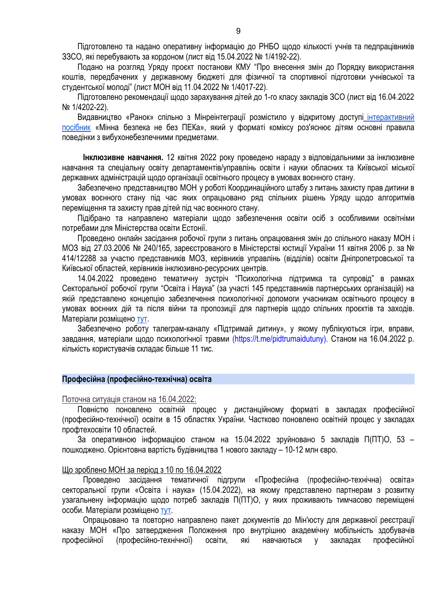Підготовлено та надано оперативну інформацію до РНБО щодо кількості учнів та педпрацівників ЗЗСО, які перебувають за кордоном (лист від 15.04.2022 № 1/4192-22).

Подано на розгляд Уряду проєкт постанови КМУ "Про внесення змін до Порядку використання коштів, передбачених у державному бюджеті для фізичної та спортивної підготовки учнівської та студентської молоді" (лист МОН від 11.04.2022 № 1/4017-22).

Підготовлено рекомендації щодо зарахування дітей до 1-го класу закладів ЗСО (лист від 16.04.2022 № 1/4202-22).

Видавництво «Ранок» спільно з Мінреінтеграції розмістило у відкритому доступі [інтерактивний](https://www.ranok.com.ua/info-prazdnichnye-raskraski-kniga-3-snegurochka-5640.html) [посібник](https://www.ranok.com.ua/info-prazdnichnye-raskraski-kniga-3-snegurochka-5640.html) «Мінна безпека не без ПЕКа», який у форматі коміксу роз'яснює дітям основні правила поведінки з вибухонебезпечними предметами.

**Інклюзивне навчання.** 12 квітня 2022 року проведено нараду з відповідальними за інклюзивне навчання та спеціальну освіту департаментів/управлінь освіти і науки обласних та Київської міської державних адміністрацій щодо організації освітнього процесу в умовах воєнного стану.

Забезпечено представництво МОН у роботі Координаційного штабу з питань захисту прав дитини в умовах воєнного стану під час яких опрацьовано ряд спільних рішень Уряду щодо алгоритмів переміщення та захисту прав дітей під час воєнного стану.

Підібрано та направлено матеріали щодо забезпечення освіти осіб з особливими освітніми потребами для Міністерства освіти Естонії.

Проведено онлайн засідання робочої групи з питань опрацювання змін до спільного наказу МОН і МОЗ від 27.03.2006 № 240/165, зареєстрованого в Міністерстві юстиції України 11 квітня 2006 р. за № 414/12288 за участю представників МОЗ, керівників управлінь (відділів) освіти Дніпропетровської та Київської областей, керівників інклюзивно-ресурсних центрів.

14.04.2022 проведено тематичну зустріч "Психологічна підтримка та супровід" в рамках Секторальної робочої групи "Освіта і Наука" (за участі 145 представників партнерських організацій) на якій представлено концепцію забезпечення психологічної допомоги учасникам освітнього процесу в умовах воєнних дій та після війни та пропозиції для партнерів щодо спільних проєктів та заходів. Матеріали розміщено [тут](https://mon.gov.ua/ua/ministerstvo/diyalnist/mizhnarodna-dilnist/pidtrimka-osviti-i-nauki-ukrayini-pid-chas-vijni/zasidannya-srg-osvita-i-nauka-pid-chas-vijni/psihologichna-pidtrimka-i-dopomoga).

Забезпечено роботу талеграм-каналу «Підтримай дитину», у якому публікуються ігри, вправи, завдання, матеріали щодо психологічної травми (https://t.me/pidtrumaidutuny). Станом на 16.04.2022 р. кількість користувачів складає більше 11 тис.

#### **Професійна (професійно-технічна) освіта**

Поточна ситуація станом на 16.04.2022:

Повністю поновлено освітній процес у дистанційному форматі в закладах професійної (професійно-технічної) освіти в 15 областях України. Частково поновлено освітній процес у закладах профтехосвіти 10 областей.

За оперативною інформацією станом на 15.04.2022 зруйновано 5 закладів П(ПТ)О, 53 – пошкоджено. Орієнтовна вартість будівництва 1 нового закладу – 10-12 млн євро.

#### Що зроблено МОН за період з 10 по 16.04.2022

Проведено засідання тематичної підгрупи «Професійна (професійно-технічна) освіта» секторальної групи «Освіта і наука» (15.04.2022), на якому представлено партнерам з розвитку узагальнену інформацію щодо потреб закладів П(ПТ)О, у яких проживають тимчасово переміщені особи. Матеріали розміщено [тут.](https://mon.gov.ua/ua/ministerstvo/diyalnist/mizhnarodna-dilnist/pidtrimka-osviti-i-nauki-ukrayini-pid-chas-vijni/zasidannya-srg-osvita-i-nauka-pid-chas-vijni/profesijna-profesijno-tehnichna-osvita)

Опрацьовано та повторно направлено пакет документів до Мін'юсту для державної реєстрації наказу МОН «Про затвердження Положення про внутрішню академічну мобільність здобувачів професійної (професійно-технічної) освіти, які навчаються у закладах професійної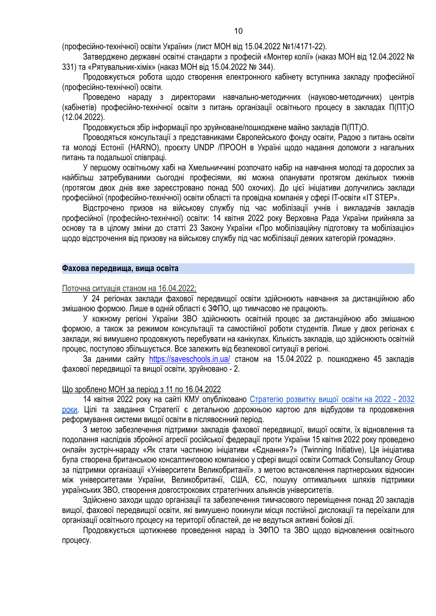(професійно-технічної) освіти України» (лист МОН від 15.04.2022 №1/4171-22).

Затверджено державні освітні стандарти з професій «Монтер колії» (наказ МОН від 12.04.2022 № 331) та «Рятувальник-хімік» (наказ МОН від 15.04.2022 № 344).

Продовжується робота щодо створення електронного кабінету вступника закладу професійної (професійно-технічної) освіти.

Проведено нараду з директорами навчально-методичних (науково-методичних) центрів (кабінетів) професійно-технічної освіти з питань організації освітнього процесу в закладах П(ПТ)О (12.04.2022).

Продовжується збір інформації про зруйноване/пошкоджене майно закладів П(ПТ)О.

Проводяться консультації з представниками Європейського фонду освіти, Радою з питань освіти та молоді Естонії (HARNO), проєкту UNDP /ПРООН в Україні щодо надання допомоги з нагальних питань та подальшої співпраці.

У першому освітньому хабі на Хмельниччині розпочато набір на навчання молоді та дорослих за найбільш затребуваними сьогодні професіями, які можна опанувати протягом декількох тижнів (протягом двох днів вже зареєстровано понад 500 охочих). До цієї ініціативи долучились заклади професійної (професійно-технічної) освіти області та провідна компанія у сфері IT-освіти «IT STEP».

Відстрочено призов на військову службу під час мобілізації учнів і викладачів закладів професійної (професійно-технічної) освіти: 14 квітня 2022 року Верховна Рада України прийняла за основу та в цілому зміни до статті 23 Закону України «Про мобілізаційну підготовку та мобілізацію» щодо відстрочення від призову на військову службу під час мобілізації деяких категорій громадян».

# **Фахова передвища, вища освіта**

### Поточна ситуація станом на 16.04.2022;

У 24 регіонах заклади фахової передвищої освіти здійснюють навчання за дистанційною або змішаною формою. Лише в одній області є ЗФПО, що тимчасово не працюють.

У кожному регіоні України ЗВО здійснюють освітній процес за дистанційною або змішаною формою, а також за режимом консультації та самостійної роботи студентів. Лише у двох регіонах є заклади, які вимушено продовжують перебувати на канікулах. Кількість закладів, що здійснюють освітній процес, поступово збільшується. Все залежить від безпекової ситуації в регіоні.

За даними сайту <https://saveschools.in.ua/> станом на 15.04.2022 р. пошкоджено 45 закладів фахової передвищої та вищої освіти, зруйновано - 2.

## Що зроблено МОН за період з 11 по 16.04.2022

14 квітня 2022 року на сайті КМУ опубліковано [Стратегію](https://www.kmu.gov.ua/npas/pro-shvalennya-strategiyi-rozvitku-vishchoyi-osviti-v-ukrayini-na-20222032-roki-286-) розвитку вищої освіти на 2022 - 2032 [роки.](https://www.kmu.gov.ua/npas/pro-shvalennya-strategiyi-rozvitku-vishchoyi-osviti-v-ukrayini-na-20222032-roki-286-) Цілі та завдання Стратегії є детальною дорожньою картою для відбудови та продовження реформування системи вищої освіти в післявоєнний період.

З метою забезпечення підтримки закладів фахової передвищої, вищої освіти, їх відновлення та подолання наслідків збройної агресії російської федерації проти України 15 квітня 2022 року проведено онлайн зустріч-нараду «Як стати частиною ініціативи «Єднання»?» (Twinning Initiative), Ця ініціатива була створена британською консалтинговою компанією у сфері вищої освіти Cormack Consultancy Group за підтримки організації «Університети Великобританії». з метою встановлення партнерських відносин між університетами України, Великобританії, США, ЄС, пошуку оптимальних шляхів підтримки українських ЗВО, створення довгострокових стратегічних альянсів університетів.

Здійснено заходи щодо організації та забезпечення тимчасового переміщення понад 20 закладів вищої, фахової передвищої освіти, які вимушено покинули місця постійної дислокації та переїхали для організації освітнього процесу на території областей, де не ведуться активні бойові дії.

Продовжується щотижневе проведення нарад із ЗФПО та ЗВО щодо відновлення освітнього процесу.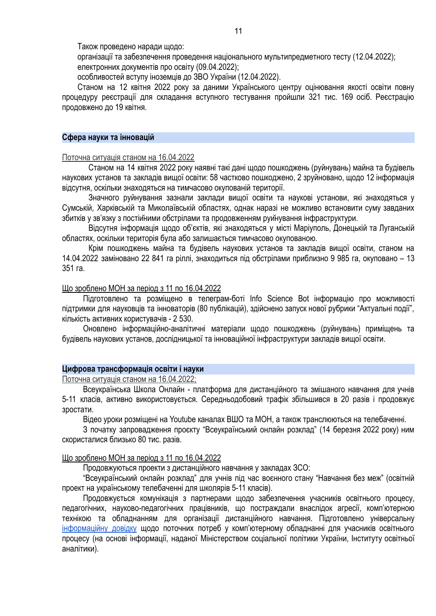Також проведено наради щодо:

організації та забезпечення проведення національного мультипредметного тесту (12.04.2022); електронних документів про освіту (09.04.2022);

особливостей вступу іноземців до ЗВО України (12.04.2022).

Станом на 12 квітня 2022 року за даними Українського центру оцінювання якості освіти повну процедуру реєстрації для складання вступного тестування пройшли 321 тис. 169 осіб. Реєстрацію продовжено до 19 квітня.

#### **Сфера науки та інновацій**

Поточна ситуація станом на 16.04.2022

Станом на 14 квітня 2022 року наявні такі дані щодо пошкоджень (руйнувань) майна та будівель наукових установ та закладів вищої освіти: 58 частково пошкоджено, 2 зруйновано, щодо 12 інформація відсутня, оскільки знаходяться на тимчасово окупованій території.

Значного руйнування зазнали заклади вищої освіти та наукові установи, які знаходяться у Сумській, Харківській та Миколаївській областях, однак наразі не можливо встановити суму завданих збитків у зв'язку з постійними обстрілами та продовженням руйнування інфраструктури.

Відсутня інформація щодо об'єктів, які знаходяться у місті Маріуполь, Донецькій та Луганській областях, оскільки територія була або залишається тимчасово окупованою.

Крім пошкоджень майна та будівель наукових установ та закладів вищої освіти, станом на 14.04.2022 заміновано 22 841 га ріллі, знаходиться під обстрілами приблизно 9 985 га, окуповано – 13 351 га.

# Що зроблено МОН за період з 11 по 16.04.2022

Підготовлено та розміщено в телеграм-боті Info [Science](https://t.me/InfoScienceBot) Bot інформацію про можливості підтримки для науковців та інноваторів (80 публікацій), здійснено запуск нової рубрики "Актуальні події", кількість активних користувачів - 2 530.

Оновлено інформаційно-аналітичні матеріали щодо пошкоджень (руйнувань) приміщень та будівель наукових установ, дослідницької та інноваційної інфраструктури закладів вищої освіти.

## **Цифрова трансформація освіти і науки**

Поточна ситуація станом на 16.04.2022;

Всеукраїнська Школа Онлайн - платформа для дистанційного та змішаного навчання для учнів 5-11 класів, активно використовується. Середньодобовий трафік збільшився в 20 разів і продовжує зростати.

Відео уроки розміщені на Youtube каналах ВШО та МОН, а також транслюються на телебаченні.

З початку запровадження проєкту "Всеукраїнський онлайн розклад" (14 березня 2022 року) ним скористалися близько 80 тис. разів.

#### Що зроблено МОН за період з 11 по 16.04.2022

Продовжуються проекти з дистанційного навчання у закладах ЗСО:

"Всеукраїнський онлайн розклад" для учнів під час воєнного стану "Навчання без меж" (освітній проект на українському телебаченні для школярів 5-11 класів).

Продовжується комунікація з партнерами щодо забезпечення учасників освітнього процесу, педагогічних, науково-педагогічних працівників, що постраждали внаслідок агресії, комп'ютерною технікою та обладнанням для організації дистанційного навчання. Підготовлено універсальну [інформаційну](https://drive.google.com/file/d/19FI0VLcTBY9YPXXZ1tv-8t5hDMDQjknG/view) довідку щодо поточних потреб у комп'ютерному обладнанні для учасників освітнього процесу (на основі інформації, наданої Міністерством соціальної політики України, Інституту освітньої аналітики).